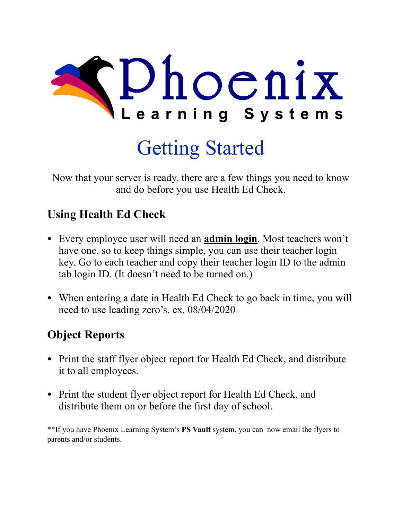

## Getting Started

Now that your server is ready, there are a few things you need to know and do before you use Health Ed Check.

## **Using Health Ed Check**

- Every employee user will need an **admin login**. Most teachers won't have one, so to keep things simple, you can use their teacher login key. Go to each teacher and copy their teacher login ID to the admin tab login ID. (It doesn't need to be turned on.)
- When entering a date in Health Ed Check to go back in time, you will need to use leading zero's. ex. 08/04/2020

## **Object Reports**

- Print the staff flyer object report for Health Ed Check, and distribute it to all employees.
- Print the student flyer object report for Health Ed Check, and distribute them on or before the first day of school.

\*\*If you have Phoenix Learning System's **PS Vault** system, you can now email the flyers to parents and/or students.